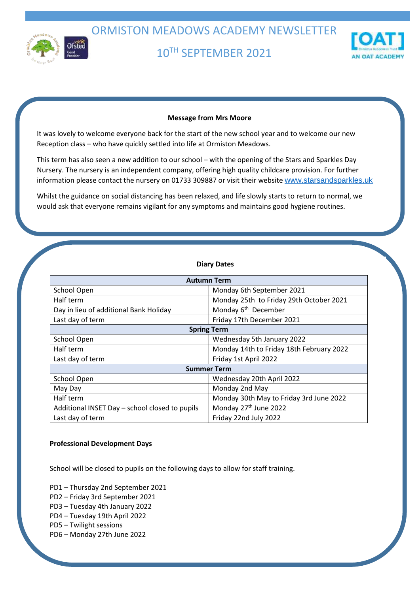

ORMISTON MEADOWS ACADEMY NEWSLETTER

10TH SEPTEMBER 2021



## **Message from Mrs Moore**

It was lovely to welcome everyone back for the start of the new school year and to welcome our new Reception class – who have quickly settled into life at Ormiston Meadows.

This term has also seen a new addition to our school – with the opening of the Stars and Sparkles Day Nursery. The nursery is an independent company, offering high quality childcare provision. For further information please contact the nursery on 01733 309887 or visit their website [www.starsandsparkles.uk](https://fis.peterborough.gov.uk/kb5/peterborough/directory/www.starsandsparkles.uk)

Whilst the guidance on social distancing has been relaxed, and life slowly starts to return to normal, we would ask that everyone remains vigilant for any symptoms and maintains good hygiene routines.

#### **Diary Dates**

| <b>Autumn Term</b>                             |                                          |
|------------------------------------------------|------------------------------------------|
| School Open                                    | Monday 6th September 2021                |
| Half term                                      | Monday 25th to Friday 29th October 2021  |
| Day in lieu of additional Bank Holiday         | Monday 6 <sup>th</sup> December          |
| Last day of term                               | Friday 17th December 2021                |
| <b>Spring Term</b>                             |                                          |
| School Open                                    | Wednesday 5th January 2022               |
| Half term                                      | Monday 14th to Friday 18th February 2022 |
| Last day of term                               | Friday 1st April 2022                    |
| <b>Summer Term</b>                             |                                          |
| School Open                                    | Wednesday 20th April 2022                |
| May Day                                        | Monday 2nd May                           |
| Half term                                      | Monday 30th May to Friday 3rd June 2022  |
| Additional INSET Day - school closed to pupils | Monday 27th June 2022                    |
| Last day of term                               | Friday 22nd July 2022                    |

#### **Professional Development Days**

School will be closed to pupils on the following days to allow for staff training.

PD1 – Thursday 2nd September 2021

- PD2 Friday 3rd September 2021
- PD3 Tuesday 4th January 2022
- PD4 Tuesday 19th April 2022
- PD5 Twilight sessions
- PD6 Monday 27th June 2022